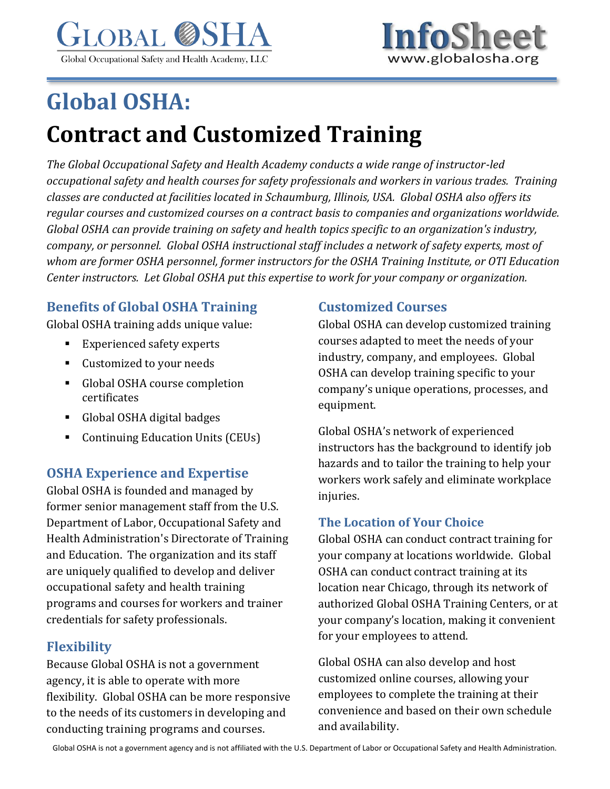



# **Global OSHA: Contract and Customized Training**

*The Global Occupational Safety and Health Academy conducts a wide range of instructor-led occupational safety and health courses for safety professionals and workers in various trades. Training classes are conducted at facilities located in Schaumburg, Illinois, USA. Global OSHA also offers its regular courses and customized courses on a contract basis to companies and organizations worldwide. Global OSHA can provide training on safety and health topics specific to an organization's industry, company, or personnel. Global OSHA instructional staff includes a network of safety experts, most of whom are former OSHA personnel, former instructors for the OSHA Training Institute, or OTI Education Center instructors. Let Global OSHA put this expertise to work for your company or organization.*

# **Benefits of Global OSHA Training**

Global OSHA training adds unique value:

- Experienced safety experts
- Customized to your needs
- Global OSHA course completion certificates
- Global OSHA digital badges
- Continuing Education Units (CEUs)

## **OSHA Experience and Expertise**

Global OSHA is founded and managed by former senior management staff from the U.S. Department of Labor, Occupational Safety and Health Administration's Directorate of Training and Education. The organization and its staff are uniquely qualified to develop and deliver occupational safety and health training programs and courses for workers and trainer credentials for safety professionals.

## **Flexibility**

Because Global OSHA is not a government agency, it is able to operate with more flexibility. Global OSHA can be more responsive to the needs of its customers in developing and conducting training programs and courses.

## **Customized Courses**

Global OSHA can develop customized training courses adapted to meet the needs of your industry, company, and employees. Global OSHA can develop training specific to your company's unique operations, processes, and equipment.

Global OSHA's network of experienced instructors has the background to identify job hazards and to tailor the training to help your workers work safely and eliminate workplace injuries.

#### **The Location of Your Choice**

Global OSHA can conduct contract training for your company at locations worldwide. Global OSHA can conduct contract training at its location near Chicago, through its network of authorized Global OSHA Training Centers, or at your company's location, making it convenient for your employees to attend.

Global OSHA can also develop and host customized online courses, allowing your employees to complete the training at their convenience and based on their own schedule and availability.